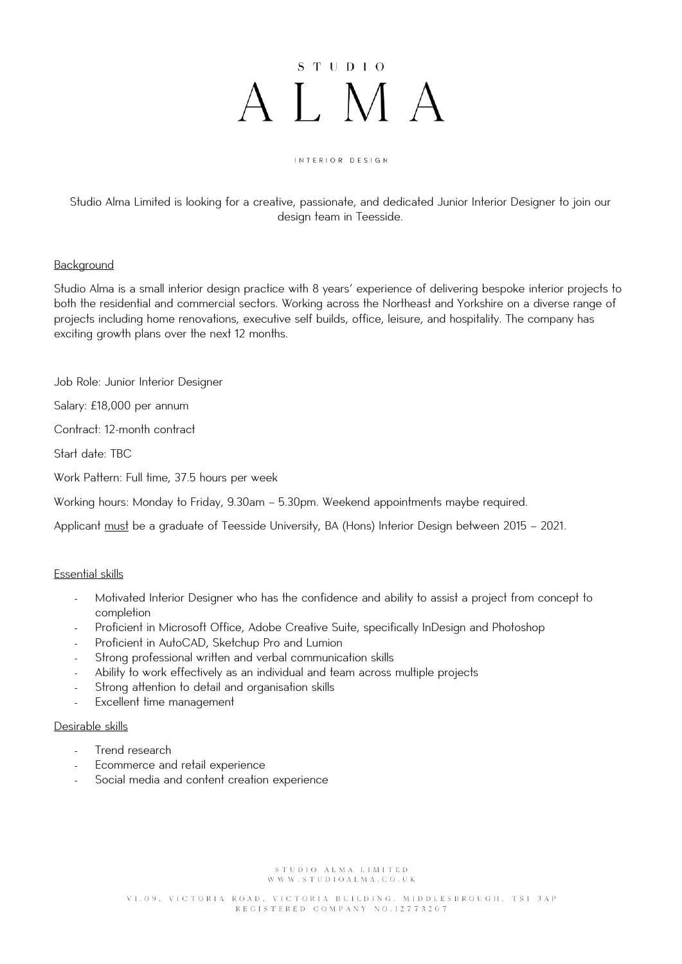# $S T U D I O$ ALMA

#### INTERIOR DESIGN

Studio Alma Limited is looking for a creative, passionate, and dedicated Junior Interior Designer to join our design team in Teesside.

## Background

Studio Alma is a small interior design practice with 8 years' experience of delivering bespoke interior projects to both the residential and commercial sectors. Working across the Northeast and Yorkshire on a diverse range of projects including home renovations, executive self builds, office, leisure, and hospitality. The company has exciting growth plans over the next 12 months.

Job Role: Junior Interior Designer

Salary: £18,000 per annum

Contract: 12-month contract

Start date: TBC

Work Pattern: Full time, 37.5 hours per week

Working hours: Monday to Friday, 9.30am – 5.30pm. Weekend appointments maybe required.

Applicant must be a graduate of Teesside University, BA (Hons) Interior Design between 2015 - 2021.

## Essential skills

- Motivated Interior Designer who has the confidence and ability to assist a project from concept to completion
- Proficient in Microsoft Office, Adobe Creative Suite, specifically InDesign and Photoshop
- Proficient in AutoCAD, Sketchup Pro and Lumion
- Strong professional written and verbal communication skills
- Ability to work effectively as an individual and team across multiple projects
- Strong attention to detail and organisation skills
- Excellent time management

## Desirable skills

- Trend research
- Ecommerce and retail experience
- Social media and content creation experience

STUDIO ALMA LIMITED WWW.STUDIOALMA.CO.UK